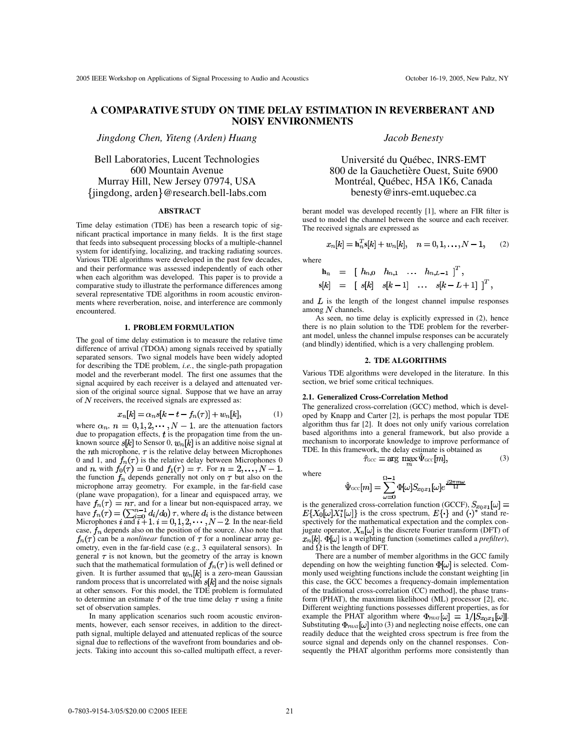# **A COMPARATIVE STUDY ON TIME DELAY ESTIMATION IN REVERBERANT AND NOISY ENVIRONMENTS**

*Jingdong Chen, Yiteng (Arden) Huang*

Bell Laboratories, Lucent Technologies 600 Mountain Avenue Murray Hill, New Jersey 07974, USA jingdong, arden @research.bell-labs.com

#### **ABSTRACT**

Time delay estimation (TDE) has been a research topic of significant practical importance in many fields. It is the first stage that feeds into subsequent processing blocks of a multiple-channel system for identifying, localizing, and tracking radiating sources. Various TDE algorithms were developed in the past few decades, and their performance was assessed independently of each other when each algorithm was developed. This paper is to provide a comparative study to illustrate the performance differences among several representative TDE algorithms in room acoustic environments where reverberation, noise, and interference are commonly encountered.

## **1. PROBLEM FORMULATION**

The goal of time delay estimation is to measure the relative time difference of arrival (TDOA) among signals received by spatially separated sensors. Two signal models have been widely adopted for describing the TDE problem, *i.e.*, the single-path propagation model and the reverberant model. The first one assumes that the signal acquired by each receiver is a delayed and attenuated version of the original source signal. Suppose that we have an array of  $N$  receivers, the received signals are expressed as:

$$
v_n[k] = \alpha_n s[k - t - f_n(\tau)] + w_n[k],\tag{1}
$$

where  $\alpha_n$ ,  $n = 0, 1, 2, \cdots, N - 1$ , are the attenuation factors due to propagation effects,  $t$  is the propagation time from the unknown source  $s[k]$  to Sensor 0,  $w_n[k]$  is an additive noise signal at the *th microphone,*  $\tau$  *is the relative delay between Microphones* 0 and 1, and  $f_n(\tau)$  is the relative delay between Microphones 0 and *n*, with  $f_0(\tau) = 0$  and  $f_1(\tau) = \tau$ . For  $n = 2, \ldots, N - 1$ , the function  $f_n$  depends generally not only on  $\tau$  but also on the microphone array geometry. For example, in the far-field case (plane wave propagation), for a linear and equispaced array, we have  $f_n(\tau) = n\tau$ , and for a linear but non-equispaced array, we have  $f_n(\tau) = (\sum_{i=0}^{n-1} d_i/d_0) \tau$ , where  $d_i$  is the distance between Microphones i and  $i+1$ ,  $i = 0, 1, 2, \dots, N-2$ . In the near-field case,  $f_n$  depends also on the position of the source. Also note that  $f_n(\tau)$  can be a *nonlinear* function of  $\tau$  for a nonlinear array geometry, even in the far-field case (e.g., 3 equilateral sensors). In general  $\tau$  is not known, but the geometry of the array is known such that the mathematical formulation of  $f_n(\tau)$  is well defined or given. It is further assumed that  $w_n[k]$  is a zero-mean Gaussian random process that is uncorrelated with  $s[k]$  and the noise signals at other sensors. For this model, the TDE problem is formulated to determine an estimate  $\hat{\tau}$  of the true time delay  $\tau$  using a finite set of observation samples.

In many application scenarios such room acoustic environments, however, each sensor receives, in addition to the directpath signal, multiple delayed and attenuated replicas of the source signal due to reflections of the wavefront from boundaries and objects. Taking into account this so-called multipath effect, a rever-

# *Jacob Benesty*

Université du Québec, INRS-EMT 800 de la Gauchetière Ouest, Suite 6900 Montréal, Québec, H5A 1K6, Canada benesty@inrs-emt.uquebec.ca

berant model was developed recently [1], where an FIR filter is used to model the channel between the source and each receiver. The received signals are expressed as

$$
x_n[k] = \mathbf{h}_n^T \mathbf{s}[k] + w_n[k], \quad n = 0, 1, \dots, N - 1,\tag{2}
$$

where

$$
\begin{array}{rcl}\n\mathbf{h}_n & = & \left[ \begin{array}{cccc} h_{n,0} & h_{n,1} & \dots & h_{n,L-1} \end{array} \right]^T, \\
\mathbf{s}[k] & = & \left[ \begin{array}{cccc} s[k] & s[k-1] & \dots & s[k-L+1] \end{array} \right]^T,\n\end{array}
$$

and  $L$  is the length of the longest channel impulse responses among  $N$  channels.

As seen, no time delay is explicitly expressed in (2), hence there is no plain solution to the TDE problem for the reverberant model, unless the channel impulse responses can be accurately (and blindly) identified, which is a very challenging problem.

### **2. TDE ALGORITHMS**

Various TDE algorithms were developed in the literature. In this section, we brief some critical techniques.

#### **2.1. Generalized Cross-Correlation Method**

 $\sim$ 

The generalized cross-correlation (GCC) method, which is developed by Knapp and Carter [2], is perhaps the most popular TDE algorithm thus far [2]. It does not only unify various correlation based algorithms into a general framework, but also provide a mechanism to incorporate knowledge to improve performance of TDE. In this framework, the delay estimate is obtained as

where

$$
\hat{\Psi}_{\text{GCC}}[m] = \sum_{\omega=0}^{\Omega-1} \Phi[\omega] S_{x_0x_1}[\omega] e^{\frac{j2\pi m \omega}{\Omega}}
$$

 $\hat{\tau}_{\text{GCC}} = \arg \max_{m} \hat{\Psi}_{\text{GCC}}[m],$ (3)

is the generalized cross-correlation function (GCCF), is the cross spectrum,  $E\{\}$  and ()\* stand respectively for the mathematical expectation and the complex conjugate operator,  $X_n[\omega]$  is the discrete Fourier transform (DFT) of  $x_n[k], \Phi[\omega]$  is a weighting function (sometimes called a *prefilter*), and  $\Omega$  is the length of DFT.

There are a number of member algorithms in the GCC family depending on how the weighting function  $\Phi[\omega]$  is selected. Commonly used weighting functions include the constant weighting [in this case, the GCC becomes a frequency-domain implementation of the traditional cross-correlation (CC) method], the phase transform (PHAT), the maximum likelihood (ML) processor [2], etc. Different weighting functions possesses different properties, as for example the PHAT algorithm where  $\Phi_{\text{PhAT}}[\omega] = 1/|S_{x_0x_1}[\omega]|$ . Substituting  $\Phi_{\text{PHAT}}[\omega]$  into (3) and neglecting noise effects, one can readily deduce that the weighted cross spectrum is free from the source signal and depends only on the channel responses. Consequently the PHAT algorithm performs more consistently than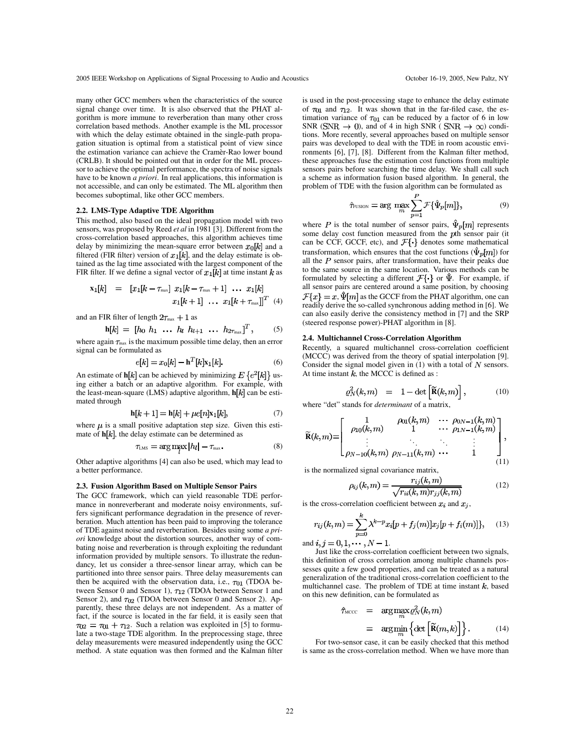many other GCC members when the characteristics of the source signal change over time. It is also observed that the PHAT algorithm is more immune to reverberation than many other cross correlation based methods. Another example is the ML processor with which the delay estimate obtained in the single-path propagation situation is optimal from a statistical point of view since the estimation variance can achieve the Cramèr-Rao lower bound (CRLB). It should be pointed out that in order for the ML processor to achieve the optimal performance, the spectra of noise signals have to be known *a priori*. In real applications, this information is not accessible, and can only be estimated. The ML algorithm then becomes suboptimal, like other GCC members.

#### **2.2. LMS-Type Adaptive TDE Algorithm**

This method, also based on the ideal propagation model with two sensors, was proposed by Reed *et al* in 1981 [3]. Different from the cross-correlation based approaches, this algorithm achieves time delay by minimizing the mean-square error between  $x_0[k]$  and a filtered (FIR filter) version of  $x_1[k]$ , and the delay estimate is obtained as the lag time associated with the largest component of the FIR filter. If we define a signal vector of  $x_1[k]$  at time instant k as

$$
\mathbf{x}_1[k] = [x_1[k - \tau_{\text{max}}] \ x_1[k - \tau_{\text{max}} + 1] \ \dots \ x_1[k]
$$

$$
x_1[k + 1] \ \dots \ x_1[k + \tau_{\text{max}}]]^T \ (4)
$$

and an FIR filter of length  $2\tau_{\text{max}} + 1$  as

$$
\mathbf{h}[k] = [h_0 \; h_1 \; \ldots \; h_l \; h_{l+1} \; \ldots \; h_{2\tau_{\text{max}}}]^T, \qquad (5)
$$

where again  $\tau_{\text{max}}$  is the maximum possible time delay, then an error signal can be formulated as

$$
e[k] = x_0[k] - \mathbf{h}^1[k]x_1[k].\tag{6}
$$

An estimate of **h**[k] can be achieved by minimizing  $E\{e^2[k]\}\$ using either a batch or an adaptive algorithm. For example, with the least-mean-square (LMS) adaptive algorithm,  $h[k]$  can be estimated through

$$
\mathbf{h}[k+1] = \mathbf{h}[k] + \mu e[n] \mathbf{x}_1[k],\tag{7}
$$

where  $\mu$  is a small positive adaptation step size. Given this estimate of  $h[k]$ , the delay estimate can be determined as

$$
\tau_{\text{LMS}} = \arg \max |h_l| - \tau_{\text{max}}.\tag{8}
$$

Other adaptive algorithms [4] can also be used, which may lead to a better performance.

#### **2.3. Fusion Algorithm Based on Multiple Sensor Pairs**

The GCC framework, which can yield reasonable TDE performance in nonreverberant and moderate noisy environments, suffers significant performance degradation in the presence of reverberation. Much attention has been paid to improving the tolerance of TDE against noise and reverberation. Besides using some *a priori* knowledge about the distortion sources, another way of combating noise and reverberation is through exploiting the redundant information provided by multiple sensors. To illustrate the redundancy, let us consider a three-sensor linear array, which can be partitioned into three sensor pairs. Three delay measurements can then be acquired with the observation data, i.e.,  $\tau_{01}$  (TDOA between Sensor 0 and Sensor 1),  $\tau_{12}$  (TDOA between Sensor 1 and Sensor 2), and  $\tau_{02}$  (TDOA between Sensor 0 and Sensor 2). Apparently, these three delays are not independent. As a matter of fact, if the source is located in the far field, it is easily seen that  $\tau_{02} = \tau_{01} + \tau_{12}$ . Such a relation was exploited in [5] to formulate a two-stage TDE algorithm. In the preprocessing stage, three delay measurements were measured independently using the GCC method. A state equation was then formed and the Kalman filter is used in the post-processing stage to enhance the delay estimate of  $\tau_{01}$  and  $\tau_{12}$ . It was shown that in the far-filed case, the estimation variance of  $\tau_{01}$  can be reduced by a factor of 6 in low SNR ( $SNR \rightarrow 0$ ), and of 4 in high SNR ( $SNR \rightarrow \infty$ ) conditions. More recently, several approaches based on multiple sensor pairs was developed to deal with the TDE in room acoustic environments [6], [7], [8]. Different from the Kalman filter method, these approaches fuse the estimation cost functions from multiple sensors pairs before searching the time delay. We shall call such a scheme as information fusion based algorithm. In general, the problem of TDE with the fusion algorithm can be formulated as

$$
\hat{\tau}_{\text{FUSION}} = \arg \max_{m} \sum_{p=1}^{P} \mathcal{F}\{\hat{\Psi}_p[m]\},\tag{9}
$$

where P is the total number of sensor pairs,  $\hat{\Psi}_p[m]$  represents some delay cost function measured from the  $p$ th sensor pair (it can be CCF, GCCF, etc), and  $\mathcal{F}\{\cdot\}$  denotes some mathematical transformation, which ensures that the cost functions  $(\hat{\Psi}_p[m])$  for all the  $P$  sensor pairs, after transformation, have their peaks due to the same source in the same location. Various methods can be formulated by selecting a different  $\mathcal{F}\{\cdot\}$  or  $\Psi$ . For example, if all sensor pairs are centered around a same position, by choosing  $\mathcal{F}{x} = x$ ,  $\hat{\Psi}[m]$  as the GCCF from the PHAT algorithm, one can readily derive the so-called synchronous adding method in [6]. We can also easily derive the consistency method in [7] and the SRP (steered response power)-PHAT algorithm in [8].

### **2.4. Multichannel Cross-Correlation Algorithm**

Recently, a squared multichannel cross-correlation coefficient (MCCC) was derived from the theory of spatial interpolation [9]. Consider the signal model given in  $(1)$  with a total of N sensors. At time instant  $\bar{k}$ , the MCCC is defined as :

$$
\varrho_N^2(k,m) = 1 - \det\left[\widetilde{\mathbf{R}}(k,m)\right],\tag{10}
$$

where "det" stands for *determinant* of a matrix,

$$
\widetilde{\mathbf{R}}(k,m) = \begin{bmatrix} 1 & \rho_{01}(k,m) & \cdots & \rho_{0N-1}(k,m) \\ \rho_{10}(k,m) & 1 & \cdots & \rho_{1N-1}(k,m) \\ \vdots & \ddots & \ddots & \vdots \\ \rho_{N-10}(k,m) & \rho_{N-11}(k,m) & \cdots & 1 \end{bmatrix},
$$
\n(11)

is the normalized signal covariance matrix,

 $\mathbf{r}$ 

$$
\rho_{ij}(k,m) = \frac{r_{ij}(k,m)}{\sqrt{r_{ii}(k,m)r_{jj}(k,m)}}\tag{12}
$$

is the cross-correlation coefficient between  $x_i$  and  $x_j$ ,

$$
r_{ij}(k,m) = \sum_{p=0}^{N} \lambda^{k-p} x_i [p + f_j(m)] x_j [p + f_i(m)]\}, \quad (13)
$$

and  $i, j = 0, 1, \dots, N - 1$ .

Just like the cross-correlation coefficient between two signals, this definition of cross correlation among multiple channels possesses quite a few good properties, and can be treated as a natural generalization of the traditional cross-correlation coefficient to the multichannel case. The problem of TDE at time instant  $k$ , based on this new definition, can be formulated as

$$
\hat{\tau}_{\text{MCCC}} = \arg \max_{m} \varrho_N^2(k, m)
$$
\n
$$
= \arg \min_{m} \left\{ \det \left[ \widetilde{\mathbf{R}}(m, k) \right] \right\}. \tag{14}
$$

For two-sensor case, it can be easily checked that this method is same as the cross-correlation method. When we have more than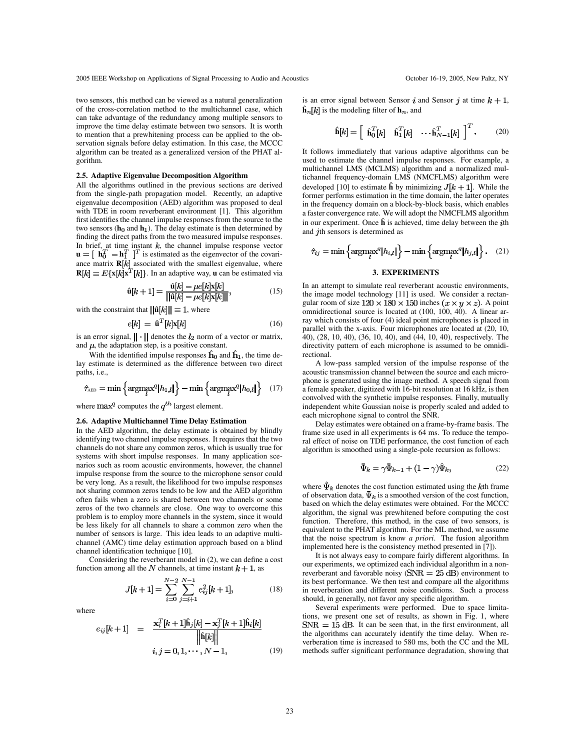two sensors, this method can be viewed as a natural generalization of the cross-correlation method to the multichannel case, which can take advantage of the redundancy among multiple sensors to improve the time delay estimate between two sensors. It is worth to mention that a prewhitening process can be applied to the observation signals before delay estimation. In this case, the MCCC algorithm can be treated as a generalized version of the PHAT algorithm.

## **2.5. Adaptive Eigenvalue Decomposition Algorithm**

All the algorithms outlined in the previous sections are derived from the single-path propagation model. Recently, an adaptive eigenvalue decomposition (AED) algorithm was proposed to deal with TDE in room reverberant environment [1]. This algorithm first identifies the channel impulse responses from the source to the two sensors ( $h_0$  and  $h_1$ ). The delay estimate is then determined by finding the direct paths from the two measured impulse responses. In brief, at time instant  $k$ , the channel impulse response vector  $\mathbf{u} = [\mathbf{h}_0^T - \mathbf{h}_1^T]^T$  is estimated as the eigenvector of the covariance matrix  $R[k]$  associated with the smallest eigenvalue, where  $\mathbf{R}[k] = E\{\mathbf{x}[k]\mathbf{x}^T[k]\}.$  In an adaptive way, **u** can be estimated via

$$
\hat{\mathbf{u}}[k+1] = \frac{\hat{\mathbf{u}}[k] - \mu e[k] \mathbf{x}[k]}{\|\hat{\mathbf{u}}[k] - \mu e[k] \mathbf{x}[k]\|},\tag{15}
$$

with the constraint that  $\|\hat{\mathbf{u}}[k]\| = 1$ , where

$$
e[k] = \hat{\mathbf{u}}^T[k]\mathbf{x}[k] \tag{16}
$$

is an error signal,  $\|\cdot\|$  denotes the  $l_2$  norm of a vector or matrix, and  $\mu$ , the adaptation step, is a positive constant.

With the identified impulse responses  $\hat{h}_0$  and  $\hat{h}_1$ , the time delay estimate is determined as the difference between two direct paths, i.e.,

$$
\hat{\tau}_{\text{AED}} = \min \left\{ \operatorname*{argmax}_{l}^{q} |h_{1,l}| \right\} - \min \left\{ \operatorname*{argmax}_{l}^{q} |h_{0,l}| \right\} \quad (17)
$$

where  $\max^q$  computes the  $q^{th}$  largest element.

# **2.6. Adaptive Multichannel Time Delay Estimation**

In the AED algorithm, the delay estimate is obtained by blindly identifying two channel impulse responses. It requires that the two channels do not share any common zeros, which is usually true for systems with short impulse responses. In many application scenarios such as room acoustic environments, however, the channel impulse response from the source to the microphone sensor could be very long. As a result, the likelihood for two impulse responses not sharing common zeros tends to be low and the AED algorithm often fails when a zero is shared between two channels or some zeros of the two channels are close. One way to overcome this problem is to employ more channels in the system, since it would be less likely for all channels to share a common zero when the number of sensors is large. This idea leads to an adaptive multichannel (AMC) time delay estimation approach based on a blind channel identification technique [10].

Considering the reverberant model in (2), we can define a cost function among all the N channels, at time instant  $k + 1$ , as

$$
J[k+1] = \sum_{i=0}^{N-2} \sum_{j=i+1}^{N-1} e_{ij}^2 [k+1],
$$
 (18)

where

$$
e_{ij}[k+1] = \frac{\mathbf{x}_i^T[k+1]\mathbf{h}_j[k] - \mathbf{x}_j^T[k+1]\mathbf{h}_i[k]}{\|\mathbf{\hat{h}}[k]\|}
$$
  

$$
i, j = 0, 1, \cdots, N-1,
$$
 (19)

is an error signal between Sensor i and Sensor j at time  $k + 1$ ,  $\hat{\mathbf{h}}_n[k]$  is the modeling filter of  $\mathbf{h}_n$ , and

$$
\hat{\mathbf{h}}[k] = \begin{bmatrix} \hat{\mathbf{h}}_0^T[k] & \hat{\mathbf{h}}_1^T[k] & \cdots & \hat{\mathbf{h}}_{N-1}^T[k] \end{bmatrix}^T.
$$
 (20)

It follows immediately that various adaptive algorithms can be used to estimate the channel impulse responses. For example, a multichannel LMS (MCLMS) algorithm and a normalized multichannel frequency-domain LMS (NMCFLMS) algorithm were developed [10] to estimate  $\hat{\bf h}$  by minimizing  $J[k+1]$ . While the former performs estimation in the time domain, the latter operates in the frequency domain on a block-by-block basis, which enables a faster convergence rate. We will adopt the NMCFLMS algorithm in our experiment. Once  $\hat{\bf h}$  is achieved, time delay between the *i*<sup>th</sup> and  $j$ th sensors is determined as

$$
\hat{\tau}_{ij} = \min \left\{ \operatorname*{argmax}_{l}^{q} |h_{i,l}| \right\} - \min \left\{ \operatorname*{argmax}_{l}^{q} |h_{j,l}| \right\}. \quad (21)
$$

# **3. EXPERIMENTS**

In an attempt to simulate real reverberant acoustic environments, the image model technology [11] is used. We consider a rectangular room of size  $120 \times 180 \times 150$  inches  $(x \times y \times z)$ . A point omnidirectional source is located at (100, 100, 40). A linear array which consists of four (4) ideal point microphones is placed in parallel with the x-axis. Four microphones are located at (20, 10, 40), (28, 10, 40), (36, 10, 40), and (44, 10, 40), respectively. The directivity pattern of each microphone is assumed to be omnidirectional.

A low-pass sampled version of the impulse response of the acoustic transmission channel between the source and each microphone is generated using the image method. A speech signal from a female speaker, digitized with 16-bit resolution at 16 kHz, is then convolved with the synthetic impulse responses. Finally, mutually independent white Gaussian noise is properly scaled and added to each microphone signal to control the SNR.

Delay estimates were obtained on a frame-by-frame basis. The frame size used in all experiments is 64 ms. To reduce the temporal effect of noise on TDE performance, the cost function of each algorithm is smoothed using a single-pole recursion as follows:

$$
\bar{\Psi}_k = \gamma \bar{\Psi}_{k-1} + (1 - \gamma)\hat{\Psi}_k, \tag{22}
$$

where  $\hat{\Psi}_k$  denotes the cost function estimated using the *k*th frame of observation data,  $\bar{\Psi}_k$  is a smoothed version of the cost function, based on which the delay estimates were obtained. For the MCCC algorithm, the signal was prewhitened before computing the cost function. Therefore, this method, in the case of two sensors, is equivalent to the PHAT algorithm. For the ML method, we assume that the noise spectrum is know *a priori*. The fusion algorithm implemented here is the consistency method presented in [7]).

It is not always easy to compare fairly different algorithms. In our experiments, we optimized each individual algorithm in a nonreverberant and favorable noisy ( $SNR = 25$  dB) environment to its best performance. We then test and compare all the algorithms in reverberation and different noise conditions. Such a process should, in generally, not favor any specific algorithm.

Several experiments were performed. Due to space limitations, we present one set of results, as shown in Fig. 1, where  $SNR = 15$  dB. It can be seen that, in the first environment, all the algorithms can accurately identify the time delay. When reverberation time is increased to 580 ms, both the CC and the ML methods suffer significant performance degradation, showing that